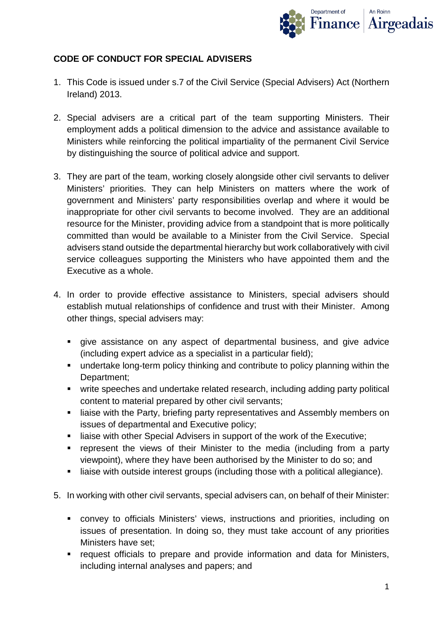

# **CODE OF CONDUCT FOR SPECIAL ADVISERS**

- 1. This Code is issued under s.7 of the Civil Service (Special Advisers) Act (Northern Ireland) 2013.
- 2. Special advisers are a critical part of the team supporting Ministers. Their employment adds a political dimension to the advice and assistance available to Ministers while reinforcing the political impartiality of the permanent Civil Service by distinguishing the source of political advice and support.
- 3. They are part of the team, working closely alongside other civil servants to deliver Ministers' priorities. They can help Ministers on matters where the work of government and Ministers' party responsibilities overlap and where it would be inappropriate for other civil servants to become involved. They are an additional resource for the Minister, providing advice from a standpoint that is more politically committed than would be available to a Minister from the Civil Service. Special advisers stand outside the departmental hierarchy but work collaboratively with civil service colleagues supporting the Ministers who have appointed them and the Executive as a whole.
- 4. In order to provide effective assistance to Ministers, special advisers should establish mutual relationships of confidence and trust with their Minister. Among other things, special advisers may:
	- give assistance on any aspect of departmental business, and give advice (including expert advice as a specialist in a particular field);
	- undertake long-term policy thinking and contribute to policy planning within the Department;
	- write speeches and undertake related research, including adding party political content to material prepared by other civil servants;
	- **EXTER 11** liaise with the Party, briefing party representatives and Assembly members on issues of departmental and Executive policy;
	- liaise with other Special Advisers in support of the work of the Executive:
	- **•** represent the views of their Minister to the media (including from a party viewpoint), where they have been authorised by the Minister to do so; and
	- liaise with outside interest groups (including those with a political allegiance).
- 5. In working with other civil servants, special advisers can, on behalf of their Minister:
	- convey to officials Ministers' views, instructions and priorities, including on issues of presentation. In doing so, they must take account of any priorities Ministers have set;
	- **•** request officials to prepare and provide information and data for Ministers, including internal analyses and papers; and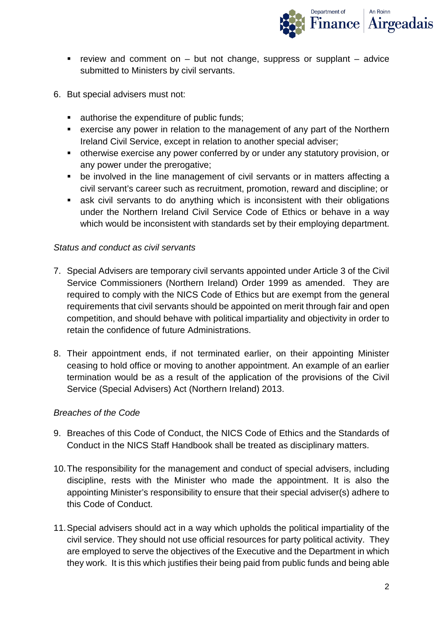

- review and comment on  $-$  but not change, suppress or supplant  $-$  advice submitted to Ministers by civil servants.
- 6. But special advisers must not:
	- **authorise the expenditure of public funds;**
	- exercise any power in relation to the management of any part of the Northern Ireland Civil Service, except in relation to another special adviser;
	- otherwise exercise any power conferred by or under any statutory provision, or any power under the prerogative;
	- be involved in the line management of civil servants or in matters affecting a civil servant's career such as recruitment, promotion, reward and discipline; or
	- ask civil servants to do anything which is inconsistent with their obligations under the Northern Ireland Civil Service Code of Ethics or behave in a way which would be inconsistent with standards set by their employing department.

#### *Status and conduct as civil servants*

- 7. Special Advisers are temporary civil servants appointed under Article 3 of the Civil Service Commissioners (Northern Ireland) Order 1999 as amended. They are required to comply with the NICS Code of Ethics but are exempt from the general requirements that civil servants should be appointed on merit through fair and open competition, and should behave with political impartiality and objectivity in order to retain the confidence of future Administrations.
- 8. Their appointment ends, if not terminated earlier, on their appointing Minister ceasing to hold office or moving to another appointment. An example of an earlier termination would be as a result of the application of the provisions of the Civil Service (Special Advisers) Act (Northern Ireland) 2013.

#### *Breaches of the Code*

- 9. Breaches of this Code of Conduct, the NICS Code of Ethics and the Standards of Conduct in the NICS Staff Handbook shall be treated as disciplinary matters.
- 10.The responsibility for the management and conduct of special advisers, including discipline, rests with the Minister who made the appointment. It is also the appointing Minister's responsibility to ensure that their special adviser(s) adhere to this Code of Conduct.
- 11.Special advisers should act in a way which upholds the political impartiality of the civil service. They should not use official resources for party political activity. They are employed to serve the objectives of the Executive and the Department in which they work. It is this which justifies their being paid from public funds and being able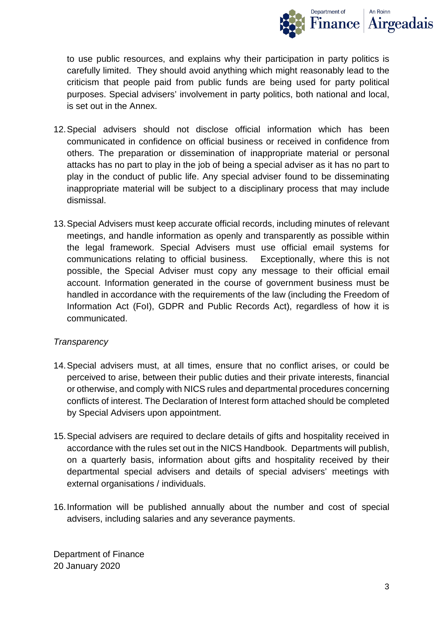

to use public resources, and explains why their participation in party politics is carefully limited. They should avoid anything which might reasonably lead to the criticism that people paid from public funds are being used for party political purposes. Special advisers' involvement in party politics, both national and local, is set out in the Annex.

- 12.Special advisers should not disclose official information which has been communicated in confidence on official business or received in confidence from others. The preparation or dissemination of inappropriate material or personal attacks has no part to play in the job of being a special adviser as it has no part to play in the conduct of public life. Any special adviser found to be disseminating inappropriate material will be subject to a disciplinary process that may include dismissal.
- 13.Special Advisers must keep accurate official records, including minutes of relevant meetings, and handle information as openly and transparently as possible within the legal framework. Special Advisers must use official email systems for communications relating to official business. Exceptionally, where this is not possible, the Special Adviser must copy any message to their official email account. Information generated in the course of government business must be handled in accordance with the requirements of the law (including the Freedom of Information Act (FoI), GDPR and Public Records Act), regardless of how it is communicated.

# *Transparency*

- 14.Special advisers must, at all times, ensure that no conflict arises, or could be perceived to arise, between their public duties and their private interests, financial or otherwise, and comply with NICS rules and departmental procedures concerning conflicts of interest. The Declaration of Interest form attached should be completed by Special Advisers upon appointment.
- 15.Special advisers are required to declare details of gifts and hospitality received in accordance with the rules set out in the NICS Handbook. Departments will publish, on a quarterly basis, information about gifts and hospitality received by their departmental special advisers and details of special advisers' meetings with external organisations / individuals.
- 16.Information will be published annually about the number and cost of special advisers, including salaries and any severance payments.

Department of Finance 20 January 2020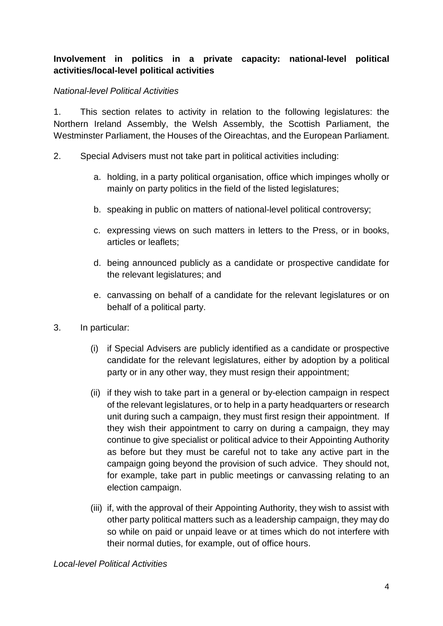# **Involvement in politics in a private capacity: national-level political activities/local-level political activities**

### *National-level Political Activities*

1. This section relates to activity in relation to the following legislatures: the Northern Ireland Assembly, the Welsh Assembly, the Scottish Parliament, the Westminster Parliament, the Houses of the Oireachtas, and the European Parliament.

- 2. Special Advisers must not take part in political activities including:
	- a. holding, in a party political organisation, office which impinges wholly or mainly on party politics in the field of the listed legislatures;
	- b. speaking in public on matters of national-level political controversy;
	- c. expressing views on such matters in letters to the Press, or in books, articles or leaflets;
	- d. being announced publicly as a candidate or prospective candidate for the relevant legislatures; and
	- e. canvassing on behalf of a candidate for the relevant legislatures or on behalf of a political party.
- 3. In particular:
	- (i) if Special Advisers are publicly identified as a candidate or prospective candidate for the relevant legislatures, either by adoption by a political party or in any other way, they must resign their appointment;
	- (ii) if they wish to take part in a general or by-election campaign in respect of the relevant legislatures, or to help in a party headquarters or research unit during such a campaign, they must first resign their appointment. If they wish their appointment to carry on during a campaign, they may continue to give specialist or political advice to their Appointing Authority as before but they must be careful not to take any active part in the campaign going beyond the provision of such advice. They should not, for example, take part in public meetings or canvassing relating to an election campaign.
	- (iii) if, with the approval of their Appointing Authority, they wish to assist with other party political matters such as a leadership campaign, they may do so while on paid or unpaid leave or at times which do not interfere with their normal duties, for example, out of office hours.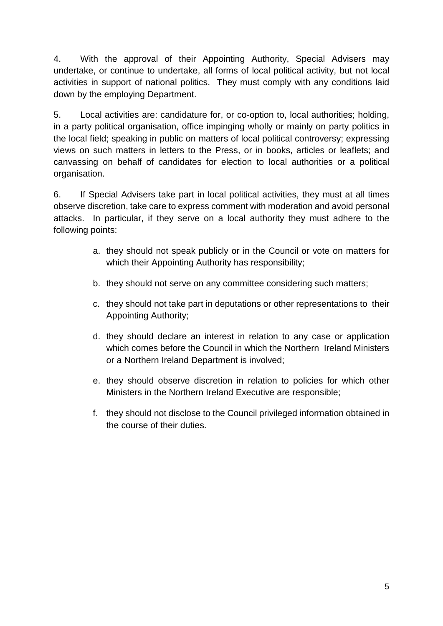4. With the approval of their Appointing Authority, Special Advisers may undertake, or continue to undertake, all forms of local political activity, but not local activities in support of national politics. They must comply with any conditions laid down by the employing Department.

5. Local activities are: candidature for, or co-option to, local authorities; holding, in a party political organisation, office impinging wholly or mainly on party politics in the local field; speaking in public on matters of local political controversy; expressing views on such matters in letters to the Press, or in books, articles or leaflets; and canvassing on behalf of candidates for election to local authorities or a political organisation.

6. If Special Advisers take part in local political activities, they must at all times observe discretion, take care to express comment with moderation and avoid personal attacks. In particular, if they serve on a local authority they must adhere to the following points:

- a. they should not speak publicly or in the Council or vote on matters for which their Appointing Authority has responsibility;
- b. they should not serve on any committee considering such matters;
- c. they should not take part in deputations or other representations to their Appointing Authority;
- d. they should declare an interest in relation to any case or application which comes before the Council in which the Northern Ireland Ministers or a Northern Ireland Department is involved;
- e. they should observe discretion in relation to policies for which other Ministers in the Northern Ireland Executive are responsible;
- f. they should not disclose to the Council privileged information obtained in the course of their duties.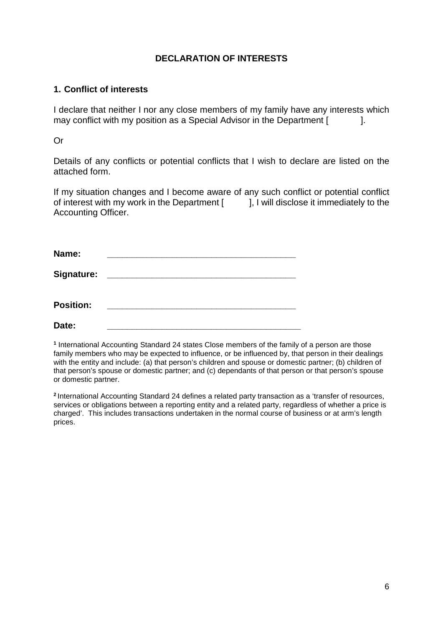### **DECLARATION OF INTERESTS**

### **1. Conflict of interests**

I declare that neither I nor any close members of my family have any interests which may conflict with my position as a Special Advisor in the Department [ ].

Or

Details of any conflicts or potential conflicts that I wish to declare are listed on the attached form.

If my situation changes and I become aware of any such conflict or potential conflict of interest with my work in the Department [  $\qquad$  ], I will disclose it immediately to the Accounting Officer.

| Name:            |                                                                                                                       |  |
|------------------|-----------------------------------------------------------------------------------------------------------------------|--|
| Signature:       | <u> Terminal de la propincia de la propincia de la propincia de la propincia de la propincia de la propincia de l</u> |  |
| <b>Position:</b> |                                                                                                                       |  |
| Date:            |                                                                                                                       |  |

**<sup>1</sup>** International Accounting Standard 24 states Close members of the family of a person are those family members who may be expected to influence, or be influenced by, that person in their dealings with the entity and include: (a) that person's children and spouse or domestic partner; (b) children of that person's spouse or domestic partner; and (c) dependants of that person or that person's spouse or domestic partner.

**<sup>2</sup>**International Accounting Standard 24 defines a related party transaction as a 'transfer of resources, services or obligations between a reporting entity and a related party, regardless of whether a price is charged'. This includes transactions undertaken in the normal course of business or at arm's length prices.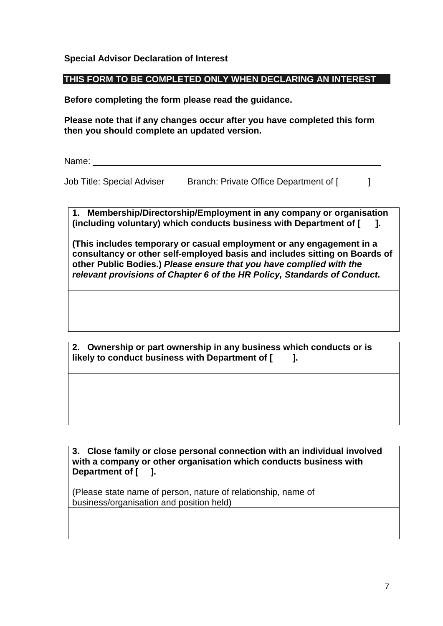#### **Special Advisor Declaration of Interest**

#### **THIS FORM TO BE COMPLETED ONLY WHEN DECLARING AN INTEREST**

**Before completing the form please read the guidance.**

**Please note that if any changes occur after you have completed this form then you should complete an updated version.** 

Name: \_\_\_\_\_\_\_\_\_\_\_\_\_\_\_\_\_\_\_\_\_\_\_\_\_\_\_\_\_\_\_\_\_\_\_\_\_\_\_\_\_\_\_\_\_\_\_\_\_\_\_\_\_\_\_\_\_\_

Job Title: Special Adviser Branch: Private Office Department of [ ]

**1. Membership/Directorship/Employment in any company or organisation (including voluntary) which conducts business with Department of [ ].** 

**(This includes temporary or casual employment or any engagement in a consultancy or other self-employed basis and includes sitting on Boards of other Public Bodies.)** *Please ensure that you have complied with the relevant provisions of Chapter 6 of the HR Policy, Standards of Conduct.* 

**2. Ownership or part ownership in any business which conducts or is**  likely to conduct business with Department of [  $\qquad$  ].

**3. Close family or close personal connection with an individual involved with a company or other organisation which conducts business with Department of [ ].**

(Please state name of person, nature of relationship, name of business/organisation and position held)